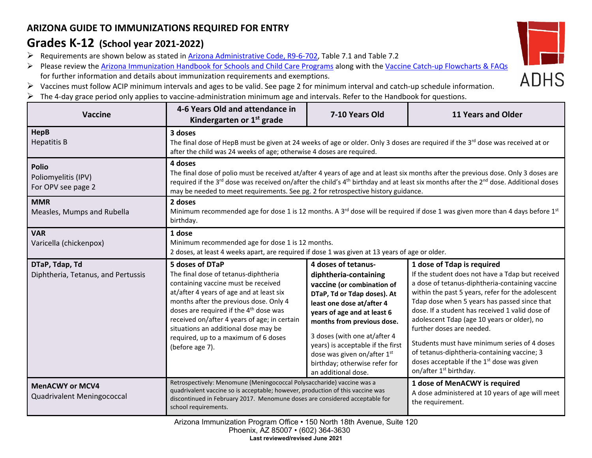## **ARIZONA GUIDE TO IMMUNIZATIONS REQUIRED FOR ENTRY**

## **Grades K-12 (School year 2021-2022)**

- ▶ Requirements are shown below as stated in [Arizona Administrative Code, R9-6-702,](https://apps.azsos.gov/public_services/Title_09/9-06.pdf) Table 7.1 and Table 7.2
- Please review the [Arizona Immunization Handbook for Schools and Child Care Programs](https://www.azdhs.gov/preparedness/epidemiology-disease-control/immunization/index.php) along with the [Vaccine Catch-up Flowcharts](https://www.azdhs.gov/documents/preparedness/epidemiology-disease-control/immunization/school-childcare/nofollow/vaccine-catch-up-flowcharts.pdf) & FAQs for further information and details about immunization requirements and exemptions.
- Vaccines must follow ACIP minimum intervals and ages to be valid. See page 2 for minimum interval and catch-up schedule information.
- $\triangleright$  The 4-day grace period only applies to vaccine-administration minimum age and intervals. Refer to the Handbook for questions.

| <b>Vaccine</b>                                                         | 4-6 Years Old and attendance in<br>Kindergarten or $1st$ grade                                                                                                                                                                                                                                                                                                                                                 | 7-10 Years Old                                                                                                                                                                                                                                                                                                                                                  | <b>11 Years and Older</b>                                                                                                                                                                                                                                                                                                                                                                                                                                                                                                                                            |  |
|------------------------------------------------------------------------|----------------------------------------------------------------------------------------------------------------------------------------------------------------------------------------------------------------------------------------------------------------------------------------------------------------------------------------------------------------------------------------------------------------|-----------------------------------------------------------------------------------------------------------------------------------------------------------------------------------------------------------------------------------------------------------------------------------------------------------------------------------------------------------------|----------------------------------------------------------------------------------------------------------------------------------------------------------------------------------------------------------------------------------------------------------------------------------------------------------------------------------------------------------------------------------------------------------------------------------------------------------------------------------------------------------------------------------------------------------------------|--|
| <b>HepB</b><br><b>Hepatitis B</b>                                      | 3 doses<br>The final dose of HepB must be given at 24 weeks of age or older. Only 3 doses are required if the 3 <sup>rd</sup> dose was received at or<br>after the child was 24 weeks of age; otherwise 4 doses are required.                                                                                                                                                                                  |                                                                                                                                                                                                                                                                                                                                                                 |                                                                                                                                                                                                                                                                                                                                                                                                                                                                                                                                                                      |  |
| <b>Polio</b><br>Poliomyelitis (IPV)<br>For OPV see page 2              | 4 doses<br>The final dose of polio must be received at/after 4 years of age and at least six months after the previous dose. Only 3 doses are<br>required if the 3 <sup>rd</sup> dose was received on/after the child's 4 <sup>th</sup> birthday and at least six months after the 2 <sup>nd</sup> dose. Additional doses<br>may be needed to meet requirements. See pg. 2 for retrospective history guidance. |                                                                                                                                                                                                                                                                                                                                                                 |                                                                                                                                                                                                                                                                                                                                                                                                                                                                                                                                                                      |  |
| <b>MMR</b><br>Measles, Mumps and Rubella                               | 2 doses<br>Minimum recommended age for dose 1 is 12 months. A 3 <sup>rd</sup> dose will be required if dose 1 was given more than 4 days before 1 <sup>st</sup><br>birthday.                                                                                                                                                                                                                                   |                                                                                                                                                                                                                                                                                                                                                                 |                                                                                                                                                                                                                                                                                                                                                                                                                                                                                                                                                                      |  |
| <b>VAR</b><br>Varicella (chickenpox)                                   | 1 dose<br>Minimum recommended age for dose 1 is 12 months.<br>2 doses, at least 4 weeks apart, are required if dose 1 was given at 13 years of age or older.                                                                                                                                                                                                                                                   |                                                                                                                                                                                                                                                                                                                                                                 |                                                                                                                                                                                                                                                                                                                                                                                                                                                                                                                                                                      |  |
| DTaP, Tdap, Td<br>Diphtheria, Tetanus, and Pertussis                   | 5 doses of DTaP<br>The final dose of tetanus-diphtheria<br>containing vaccine must be received<br>at/after 4 years of age and at least six<br>months after the previous dose. Only 4<br>doses are required if the 4 <sup>th</sup> dose was<br>received on/after 4 years of age; in certain<br>situations an additional dose may be<br>required, up to a maximum of 6 doses<br>(before age 7).                  | 4 doses of tetanus-<br>diphtheria-containing<br>vaccine (or combination of<br>DTaP, Td or Tdap doses). At<br>least one dose at/after 4<br>years of age and at least 6<br>months from previous dose.<br>3 doses (with one at/after 4<br>years) is acceptable if the first<br>dose was given on/after 1st<br>birthday; otherwise refer for<br>an additional dose. | 1 dose of Tdap is required<br>If the student does not have a Tdap but received<br>a dose of tetanus-diphtheria-containing vaccine<br>within the past 5 years, refer for the adolescent<br>Tdap dose when 5 years has passed since that<br>dose. If a student has received 1 valid dose of<br>adolescent Tdap (age 10 years or older), no<br>further doses are needed.<br>Students must have minimum series of 4 doses<br>of tetanus-diphtheria-containing vaccine; 3<br>doses acceptable if the 1 <sup>st</sup> dose was given<br>on/after 1 <sup>st</sup> birthday. |  |
| <b>MenACWY or MCV4</b><br>Quadrivalent Meningococcal                   | Retrospectively: Menomune (Meningococcal Polysaccharide) vaccine was a<br>quadrivalent vaccine so is acceptable; however, production of this vaccine was<br>discontinued in February 2017. Menomune doses are considered acceptable for<br>school requirements.                                                                                                                                                |                                                                                                                                                                                                                                                                                                                                                                 | 1 dose of MenACWY is required<br>A dose administered at 10 years of age will meet<br>the requirement.                                                                                                                                                                                                                                                                                                                                                                                                                                                                |  |
| Arizona Immunization Program Office • 150 North 18th Avenue, Suite 120 |                                                                                                                                                                                                                                                                                                                                                                                                                |                                                                                                                                                                                                                                                                                                                                                                 |                                                                                                                                                                                                                                                                                                                                                                                                                                                                                                                                                                      |  |